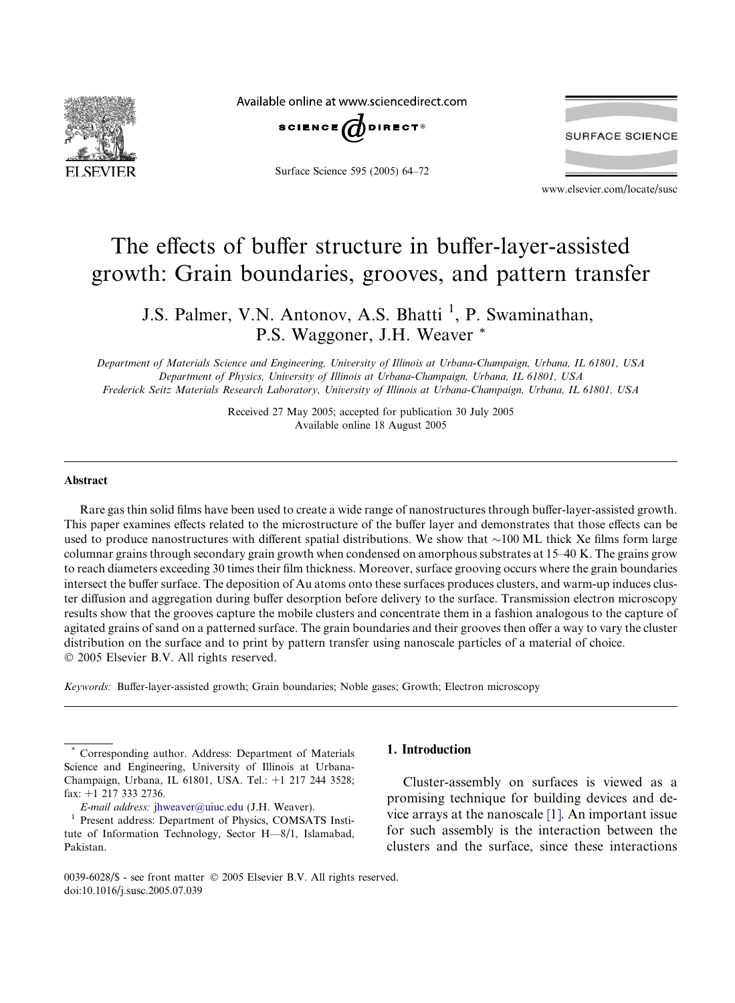

Available online at www.sciencedirect.com



Surface Science 595 (2005) 64–72



www.elsevier.com/locate/susc

# The effects of buffer structure in buffer-layer-assisted growth: Grain boundaries, grooves, and pattern transfer

J.S. Palmer, V.N. Antonov, A.S. Bhatti<sup>1</sup>, P. Swaminathan, P.S. Waggoner, J.H. Weaver \*

Department of Materials Science and Engineering, University of Illinois at Urbana-Champaign, Urbana, IL 61801, USA Department of Physics, University of Illinois at Urbana-Champaign, Urbana, IL 61801, USA Frederick Seitz Materials Research Laboratory, University of Illinois at Urbana-Champaign, Urbana, IL 61801, USA

> Received 27 May 2005; accepted for publication 30 July 2005 Available online 18 August 2005

#### Abstract

Rare gas thin solid films have been used to create a wide range of nanostructures through buffer-layer-assisted growth. This paper examines effects related to the microstructure of the buffer layer and demonstrates that those effects can be used to produce nanostructures with different spatial distributions. We show that  $\sim$ 100 ML thick Xe films form large columnar grains through secondary grain growth when condensed on amorphous substrates at 15–40 K. The grains grow to reach diameters exceeding 30 times their film thickness. Moreover, surface grooving occurs where the grain boundaries intersect the buffer surface. The deposition of Au atoms onto these surfaces produces clusters, and warm-up induces cluster diffusion and aggregation during buffer desorption before delivery to the surface. Transmission electron microscopy results show that the grooves capture the mobile clusters and concentrate them in a fashion analogous to the capture of agitated grains of sand on a patterned surface. The grain boundaries and their grooves then offer a way to vary the cluster distribution on the surface and to print by pattern transfer using nanoscale particles of a material of choice. 2005 Elsevier B.V. All rights reserved.

Keywords: Buffer-layer-assisted growth; Grain boundaries; Noble gases; Growth; Electron microscopy

E-mail address: [jhweaver@uiuc.edu](mailto:jhweaver@uiuc.edu) (J.H. Weaver).

# 1. Introduction

Cluster-assembly on surfaces is viewed as a promising technique for building devices and device arrays at the nanoscale [\[1\]](#page-8-0). An important issue for such assembly is the interaction between the clusters and the surface, since these interactions

Corresponding author. Address: Department of Materials Science and Engineering, University of Illinois at Urbana-Champaign, Urbana, IL 61801, USA. Tel.: +1 217 244 3528; fax: +1 217 333 2736.

<sup>&</sup>lt;sup>1</sup> Present address: Department of Physics, COMSATS Institute of Information Technology, Sector H—8/1, Islamabad, Pakistan.

<sup>0039-6028/\$ -</sup> see front matter © 2005 Elsevier B.V. All rights reserved. doi:10.1016/j.susc.2005.07.039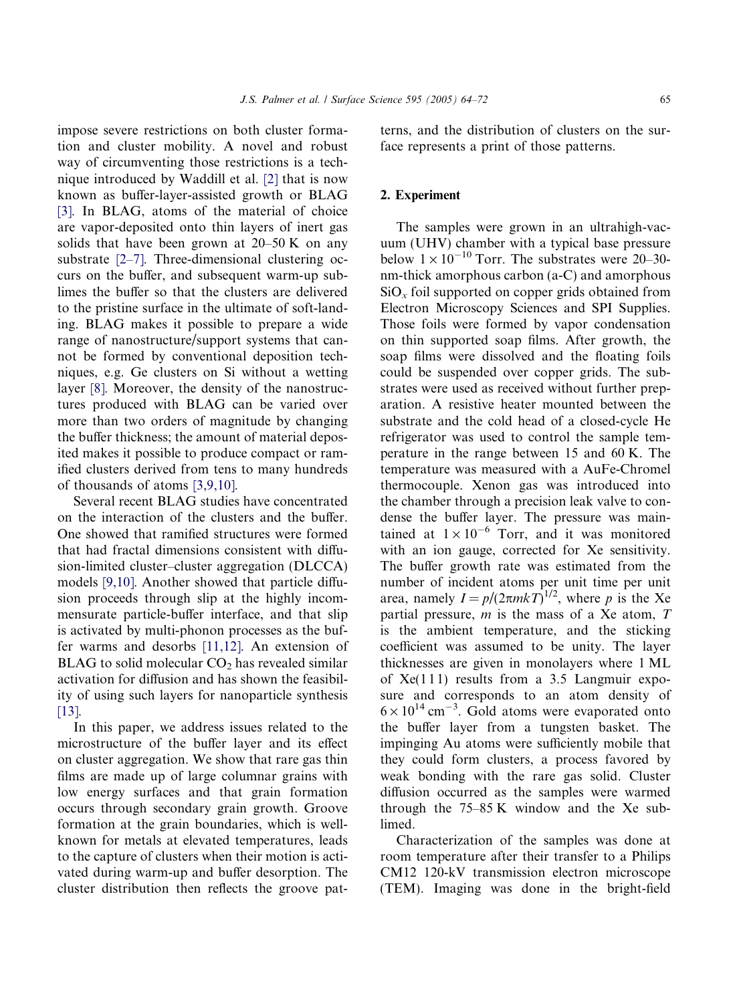impose severe restrictions on both cluster formation and cluster mobility. A novel and robust way of circumventing those restrictions is a technique introduced by Waddill et al. [\[2\]](#page-8-0) that is now known as buffer-layer-assisted growth or BLAG [\[3\].](#page-8-0) In BLAG, atoms of the material of choice are vapor-deposited onto thin layers of inert gas solids that have been grown at  $20-50$  K on any substrate [\[2–7\]](#page-8-0). Three-dimensional clustering occurs on the buffer, and subsequent warm-up sublimes the buffer so that the clusters are delivered to the pristine surface in the ultimate of soft-landing. BLAG makes it possible to prepare a wide range of nanostructure/support systems that cannot be formed by conventional deposition techniques, e.g. Ge clusters on Si without a wetting layer [\[8\]](#page-8-0). Moreover, the density of the nanostructures produced with BLAG can be varied over more than two orders of magnitude by changing the buffer thickness; the amount of material deposited makes it possible to produce compact or ramified clusters derived from tens to many hundreds of thousands of atoms [\[3,9,10\].](#page-8-0)

Several recent BLAG studies have concentrated on the interaction of the clusters and the buffer. One showed that ramified structures were formed that had fractal dimensions consistent with diffusion-limited cluster–cluster aggregation (DLCCA) models [\[9,10\]](#page-8-0). Another showed that particle diffusion proceeds through slip at the highly incommensurate particle-buffer interface, and that slip is activated by multi-phonon processes as the buffer warms and desorbs [\[11,12\]](#page-8-0). An extension of BLAG to solid molecular  $CO<sub>2</sub>$  has revealed similar activation for diffusion and has shown the feasibility of using such layers for nanoparticle synthesis [\[13\].](#page-8-0)

In this paper, we address issues related to the microstructure of the buffer layer and its effect on cluster aggregation. We show that rare gas thin films are made up of large columnar grains with low energy surfaces and that grain formation occurs through secondary grain growth. Groove formation at the grain boundaries, which is wellknown for metals at elevated temperatures, leads to the capture of clusters when their motion is activated during warm-up and buffer desorption. The cluster distribution then reflects the groove patterns, and the distribution of clusters on the surface represents a print of those patterns.

### 2. Experiment

The samples were grown in an ultrahigh-vacuum (UHV) chamber with a typical base pressure below  $1 \times 10^{-10}$  Torr. The substrates were 20–30nm-thick amorphous carbon (a-C) and amorphous  $SiO<sub>x</sub>$  foil supported on copper grids obtained from Electron Microscopy Sciences and SPI Supplies. Those foils were formed by vapor condensation on thin supported soap films. After growth, the soap films were dissolved and the floating foils could be suspended over copper grids. The substrates were used as received without further preparation. A resistive heater mounted between the substrate and the cold head of a closed-cycle He refrigerator was used to control the sample temperature in the range between 15 and 60 K. The temperature was measured with a AuFe-Chromel thermocouple. Xenon gas was introduced into the chamber through a precision leak valve to condense the buffer layer. The pressure was maintained at  $1 \times 10^{-6}$  Torr, and it was monitored with an ion gauge, corrected for Xe sensitivity. The buffer growth rate was estimated from the number of incident atoms per unit time per unit area, namely  $I = p/(2\pi mkT)^{1/2}$ , where p is the Xe partial pressure,  $m$  is the mass of a Xe atom,  $T$ is the ambient temperature, and the sticking coefficient was assumed to be unity. The layer thicknesses are given in monolayers where 1 ML of  $Xe(111)$  results from a 3.5 Langmuir exposure and corresponds to an atom density of  $6 \times 10^{14}$  cm<sup>-3</sup>. Gold atoms were evaporated onto the buffer layer from a tungsten basket. The impinging Au atoms were sufficiently mobile that they could form clusters, a process favored by weak bonding with the rare gas solid. Cluster diffusion occurred as the samples were warmed through the 75–85 K window and the Xe sublimed.

Characterization of the samples was done at room temperature after their transfer to a Philips CM12 120-kV transmission electron microscope (TEM). Imaging was done in the bright-field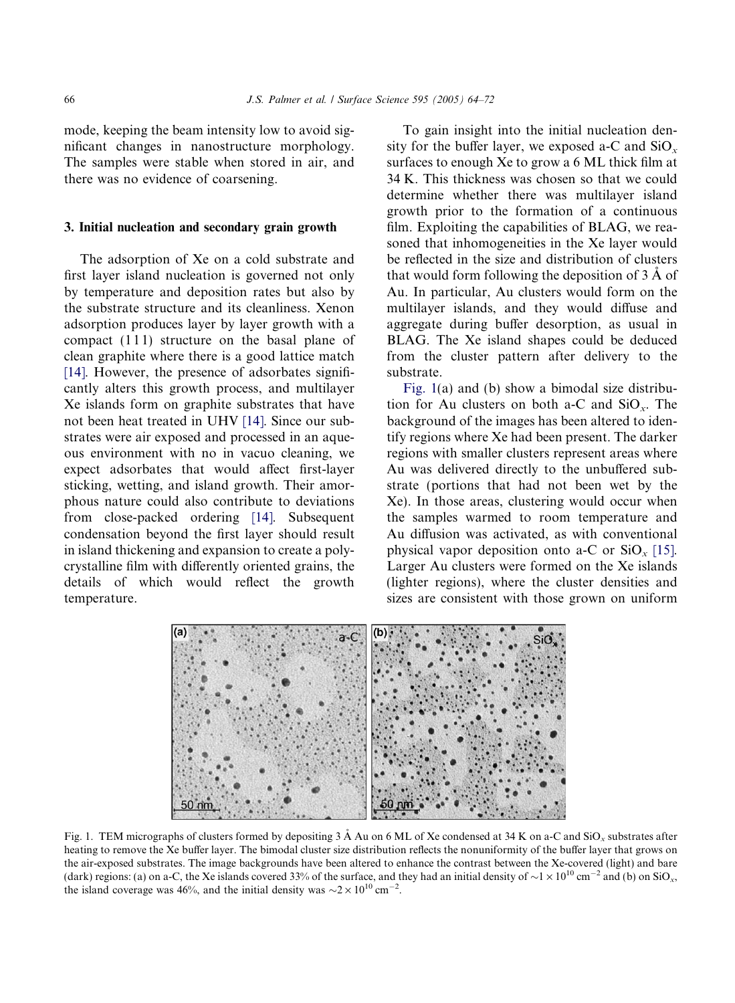<span id="page-2-0"></span>mode, keeping the beam intensity low to avoid significant changes in nanostructure morphology. The samples were stable when stored in air, and there was no evidence of coarsening.

#### 3. Initial nucleation and secondary grain growth

The adsorption of Xe on a cold substrate and first layer island nucleation is governed not only by temperature and deposition rates but also by the substrate structure and its cleanliness. Xenon adsorption produces layer by layer growth with a compact (111) structure on the basal plane of clean graphite where there is a good lattice match [\[14\].](#page-8-0) However, the presence of adsorbates significantly alters this growth process, and multilayer Xe islands form on graphite substrates that have not been heat treated in UHV [\[14\]](#page-8-0). Since our substrates were air exposed and processed in an aqueous environment with no in vacuo cleaning, we expect adsorbates that would affect first-layer sticking, wetting, and island growth. Their amorphous nature could also contribute to deviations from close-packed ordering [\[14\].](#page-8-0) Subsequent condensation beyond the first layer should result in island thickening and expansion to create a polycrystalline film with differently oriented grains, the details of which would reflect the growth temperature.

To gain insight into the initial nucleation density for the buffer layer, we exposed a-C and  $SiO_x$ surfaces to enough Xe to grow a 6 ML thick film at 34 K. This thickness was chosen so that we could determine whether there was multilayer island growth prior to the formation of a continuous film. Exploiting the capabilities of BLAG, we reasoned that inhomogeneities in the Xe layer would be reflected in the size and distribution of clusters that would form following the deposition of  $3 \text{ Å}$  of Au. In particular, Au clusters would form on the multilayer islands, and they would diffuse and aggregate during buffer desorption, as usual in BLAG. The Xe island shapes could be deduced from the cluster pattern after delivery to the substrate.

Fig. 1(a) and (b) show a bimodal size distribution for Au clusters on both a-C and  $SiO_x$ . The background of the images has been altered to identify regions where Xe had been present. The darker regions with smaller clusters represent areas where Au was delivered directly to the unbuffered substrate (portions that had not been wet by the Xe). In those areas, clustering would occur when the samples warmed to room temperature and Au diffusion was activated, as with conventional physical vapor deposition onto a-C or  $SiO_x$  [\[15\]](#page-8-0). Larger Au clusters were formed on the Xe islands (lighter regions), where the cluster densities and sizes are consistent with those grown on uniform



Fig. 1. TEM micrographs of clusters formed by depositing  $3 \text{ Å}$  Au on 6 ML of Xe condensed at  $34 \text{ K}$  on a-C and  $\text{SiO}_y$  substrates after heating to remove the Xe buffer layer. The bimodal cluster size distribution reflects the nonuniformity of the buffer layer that grows on the air-exposed substrates. The image backgrounds have been altered to enhance the contrast between the Xe-covered (light) and bare (dark) regions: (a) on a-C, the Xe islands covered 33% of the surface, and they had an initial density of  $\sim$  1 × 10<sup>10</sup> cm<sup>-2</sup> and (b) on SiO<sub>x</sub>, the island coverage was 46%, and the initial density was  $\sim 2 \times 10^{10} \text{ cm}^{-2}$ .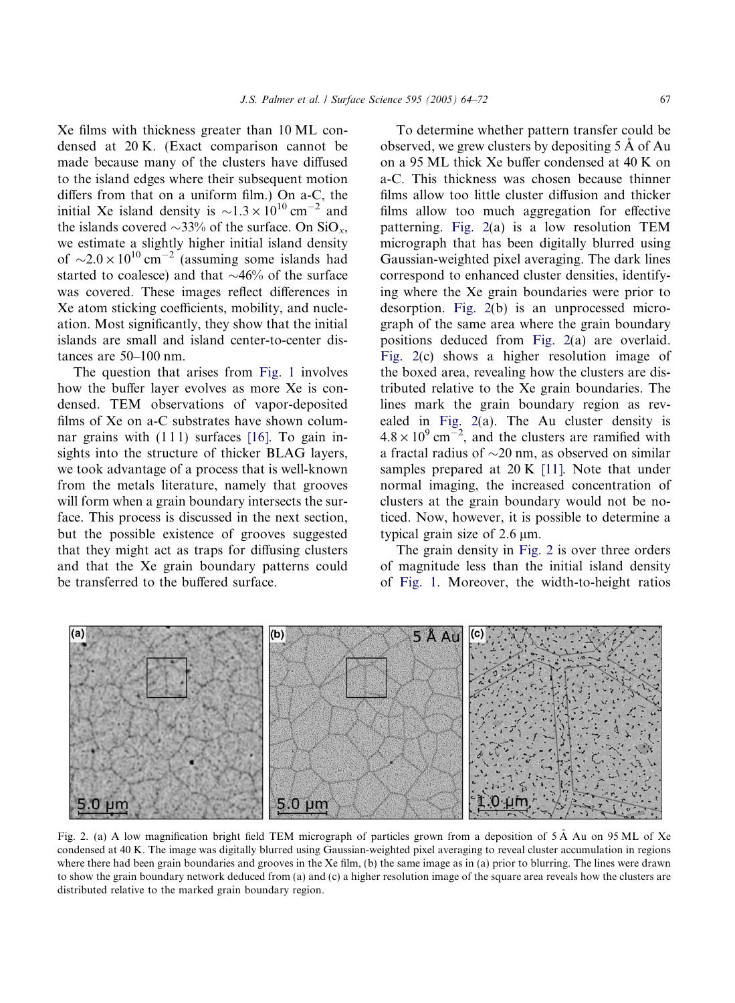<span id="page-3-0"></span>Xe films with thickness greater than 10 ML condensed at 20 K. (Exact comparison cannot be made because many of the clusters have diffused to the island edges where their subsequent motion differs from that on a uniform film.) On a-C, the initial Xe island density is  $\sim 1.3 \times 10^{10}$  cm<sup>-2</sup> and the islands covered  $\sim$ 33% of the surface. On SiO<sub>x</sub>, we estimate a slightly higher initial island density of  $\sim$ 2.0 × 10<sup>10</sup> cm<sup>-2</sup> (assuming some islands had started to coalesce) and that  $\sim$ 46% of the surface was covered. These images reflect differences in Xe atom sticking coefficients, mobility, and nucleation. Most significantly, they show that the initial islands are small and island center-to-center distances are 50–100 nm.

The question that arises from [Fig. 1](#page-2-0) involves how the buffer layer evolves as more Xe is condensed. TEM observations of vapor-deposited films of Xe on a-C substrates have shown columnar grains with  $(111)$  surfaces  $[16]$ . To gain insights into the structure of thicker BLAG layers, we took advantage of a process that is well-known from the metals literature, namely that grooves will form when a grain boundary intersects the surface. This process is discussed in the next section, but the possible existence of grooves suggested that they might act as traps for diffusing clusters and that the Xe grain boundary patterns could be transferred to the buffered surface.

J.S. Palmer et al. / Surface Science 595 (2005) 64–72 67

To determine whether pattern transfer could be observed, we grew clusters by depositing  $5 \text{ Å}$  of Au on a 95 ML thick Xe buffer condensed at 40 K on a-C. This thickness was chosen because thinner films allow too little cluster diffusion and thicker films allow too much aggregation for effective patterning. Fig. 2(a) is a low resolution TEM micrograph that has been digitally blurred using Gaussian-weighted pixel averaging. The dark lines correspond to enhanced cluster densities, identifying where the Xe grain boundaries were prior to desorption. Fig. 2(b) is an unprocessed micrograph of the same area where the grain boundary positions deduced from Fig. 2(a) are overlaid. Fig. 2(c) shows a higher resolution image of the boxed area, revealing how the clusters are distributed relative to the Xe grain boundaries. The lines mark the grain boundary region as revealed in Fig. 2(a). The Au cluster density is  $4.8 \times 10^{9}$  cm<sup>-2</sup>, and the clusters are ramified with a fractal radius of  $\sim$ 20 nm, as observed on similar samples prepared at 20 K [\[11\].](#page-8-0) Note that under normal imaging, the increased concentration of clusters at the grain boundary would not be noticed. Now, however, it is possible to determine a typical grain size of  $2.6 \mu m$ .

The grain density in Fig. 2 is over three orders of magnitude less than the initial island density of [Fig. 1](#page-2-0). Moreover, the width-to-height ratios



Fig. 2. (a) A low magnification bright field TEM micrograph of particles grown from a deposition of 5 Å Au on 95 ML of Xe condensed at 40 K. The image was digitally blurred using Gaussian-weighted pixel averaging to reveal cluster accumulation in regions where there had been grain boundaries and grooves in the Xe film, (b) the same image as in (a) prior to blurring. The lines were drawn to show the grain boundary network deduced from (a) and (c) a higher resolution image of the square area reveals how the clusters are distributed relative to the marked grain boundary region.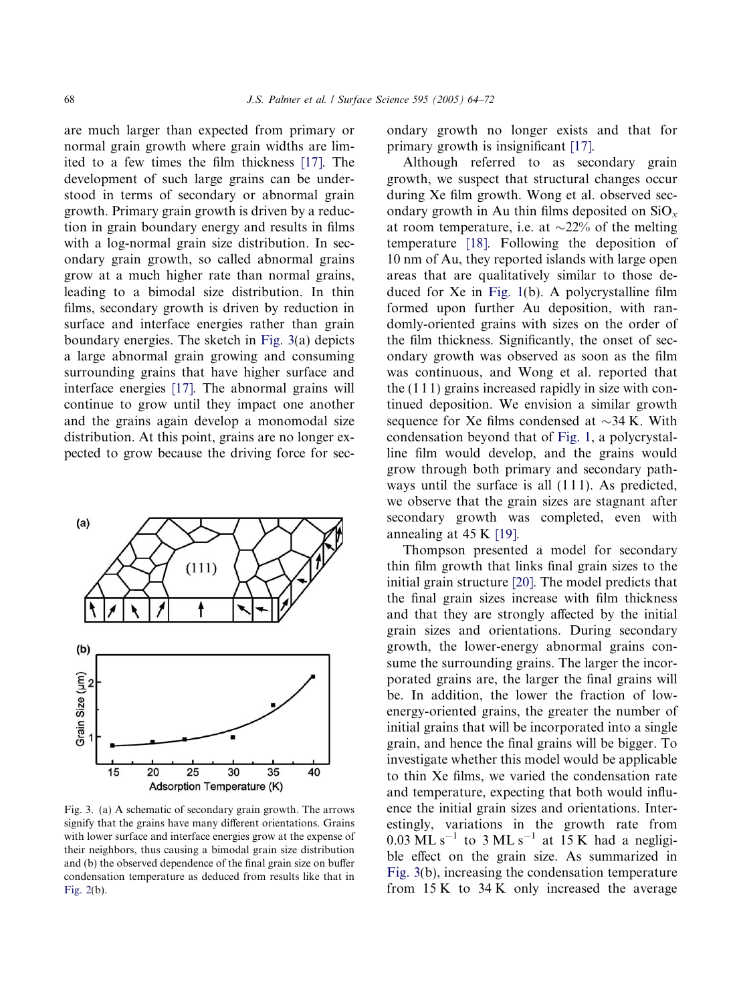are much larger than expected from primary or normal grain growth where grain widths are limited to a few times the film thickness [\[17\]](#page-8-0). The development of such large grains can be understood in terms of secondary or abnormal grain growth. Primary grain growth is driven by a reduction in grain boundary energy and results in films with a log-normal grain size distribution. In secondary grain growth, so called abnormal grains grow at a much higher rate than normal grains, leading to a bimodal size distribution. In thin films, secondary growth is driven by reduction in surface and interface energies rather than grain boundary energies. The sketch in Fig. 3(a) depicts a large abnormal grain growing and consuming surrounding grains that have higher surface and interface energies [\[17\].](#page-8-0) The abnormal grains will continue to grow until they impact one another and the grains again develop a monomodal size distribution. At this point, grains are no longer expected to grow because the driving force for sec-



Fig. 3. (a) A schematic of secondary grain growth. The arrows signify that the grains have many different orientations. Grains with lower surface and interface energies grow at the expense of their neighbors, thus causing a bimodal grain size distribution and (b) the observed dependence of the final grain size on buffer condensation temperature as deduced from results like that in [Fig. 2\(](#page-3-0)b).

ondary growth no longer exists and that for primary growth is insignificant [\[17\].](#page-8-0)

Although referred to as secondary grain growth, we suspect that structural changes occur during Xe film growth. Wong et al. observed secondary growth in Au thin films deposited on  $SiO_x$ at room temperature, i.e. at  $\sim$ 22% of the melting temperature [\[18\].](#page-8-0) Following the deposition of 10 nm of Au, they reported islands with large open areas that are qualitatively similar to those deduced for Xe in [Fig. 1\(](#page-2-0)b). A polycrystalline film formed upon further Au deposition, with randomly-oriented grains with sizes on the order of the film thickness. Significantly, the onset of secondary growth was observed as soon as the film was continuous, and Wong et al. reported that the (1 1 1) grains increased rapidly in size with continued deposition. We envision a similar growth sequence for Xe films condensed at  $\sim$ 34 K. With condensation beyond that of [Fig. 1,](#page-2-0) a polycrystalline film would develop, and the grains would grow through both primary and secondary pathways until the surface is all  $(111)$ . As predicted, we observe that the grain sizes are stagnant after secondary growth was completed, even with annealing at 45 K [\[19\]](#page-8-0).

Thompson presented a model for secondary thin film growth that links final grain sizes to the initial grain structure [\[20\].](#page-8-0) The model predicts that the final grain sizes increase with film thickness and that they are strongly affected by the initial grain sizes and orientations. During secondary growth, the lower-energy abnormal grains consume the surrounding grains. The larger the incorporated grains are, the larger the final grains will be. In addition, the lower the fraction of lowenergy-oriented grains, the greater the number of initial grains that will be incorporated into a single grain, and hence the final grains will be bigger. To investigate whether this model would be applicable to thin Xe films, we varied the condensation rate and temperature, expecting that both would influence the initial grain sizes and orientations. Interestingly, variations in the growth rate from  $0.03$  ML s<sup>-1</sup> to 3 ML s<sup>-1</sup> at 15 K had a negligible effect on the grain size. As summarized in Fig. 3(b), increasing the condensation temperature from 15 K to 34 K only increased the average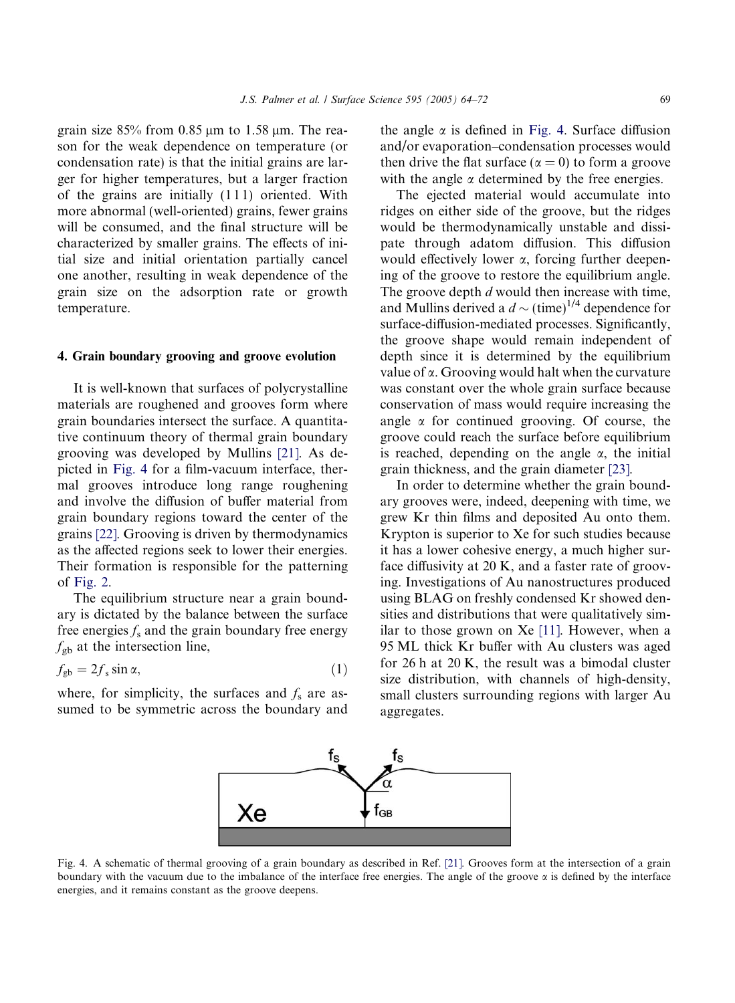grain size  $85\%$  from 0.85  $\mu$ m to 1.58  $\mu$ m. The reason for the weak dependence on temperature (or condensation rate) is that the initial grains are larger for higher temperatures, but a larger fraction of the grains are initially  $(111)$  oriented. With more abnormal (well-oriented) grains, fewer grains will be consumed, and the final structure will be characterized by smaller grains. The effects of initial size and initial orientation partially cancel one another, resulting in weak dependence of the grain size on the adsorption rate or growth temperature.

#### 4. Grain boundary grooving and groove evolution

It is well-known that surfaces of polycrystalline materials are roughened and grooves form where grain boundaries intersect the surface. A quantitative continuum theory of thermal grain boundary grooving was developed by Mullins [\[21\]](#page-8-0). As depicted in Fig. 4 for a film-vacuum interface, thermal grooves introduce long range roughening and involve the diffusion of buffer material from grain boundary regions toward the center of the grains [\[22\]](#page-8-0). Grooving is driven by thermodynamics as the affected regions seek to lower their energies. Their formation is responsible for the patterning of [Fig. 2](#page-3-0).

The equilibrium structure near a grain boundary is dictated by the balance between the surface free energies  $f_s$  and the grain boundary free energy  $f_{\text{gb}}$  at the intersection line,

$$
f_{\rm gb} = 2f_{\rm s} \sin \alpha, \tag{1}
$$

where, for simplicity, the surfaces and  $f_s$  are assumed to be symmetric across the boundary and the angle  $\alpha$  is defined in Fig. 4. Surface diffusion and/or evaporation–condensation processes would then drive the flat surface ( $\alpha = 0$ ) to form a groove with the angle  $\alpha$  determined by the free energies.

The ejected material would accumulate into ridges on either side of the groove, but the ridges would be thermodynamically unstable and dissipate through adatom diffusion. This diffusion would effectively lower  $\alpha$ , forcing further deepening of the groove to restore the equilibrium angle. The groove depth d would then increase with time, and Mullins derived a  $d \sim (\text{time})^{1/4}$  dependence for surface-diffusion-mediated processes. Significantly, the groove shape would remain independent of depth since it is determined by the equilibrium value of  $\alpha$ . Grooving would halt when the curvature was constant over the whole grain surface because conservation of mass would require increasing the angle  $\alpha$  for continued grooving. Of course, the groove could reach the surface before equilibrium is reached, depending on the angle  $\alpha$ , the initial grain thickness, and the grain diameter [\[23\]](#page-8-0).

In order to determine whether the grain boundary grooves were, indeed, deepening with time, we grew Kr thin films and deposited Au onto them. Krypton is superior to Xe for such studies because it has a lower cohesive energy, a much higher surface diffusivity at 20 K, and a faster rate of grooving. Investigations of Au nanostructures produced using BLAG on freshly condensed Kr showed densities and distributions that were qualitatively similar to those grown on Xe [\[11\]](#page-8-0). However, when a 95 ML thick Kr buffer with Au clusters was aged for 26 h at 20 K, the result was a bimodal cluster size distribution, with channels of high-density, small clusters surrounding regions with larger Au aggregates.



Fig. 4. A schematic of thermal grooving of a grain boundary as described in Ref. [\[21\].](#page-8-0) Grooves form at the intersection of a grain boundary with the vacuum due to the imbalance of the interface free energies. The angle of the groove  $\alpha$  is defined by the interface energies, and it remains constant as the groove deepens.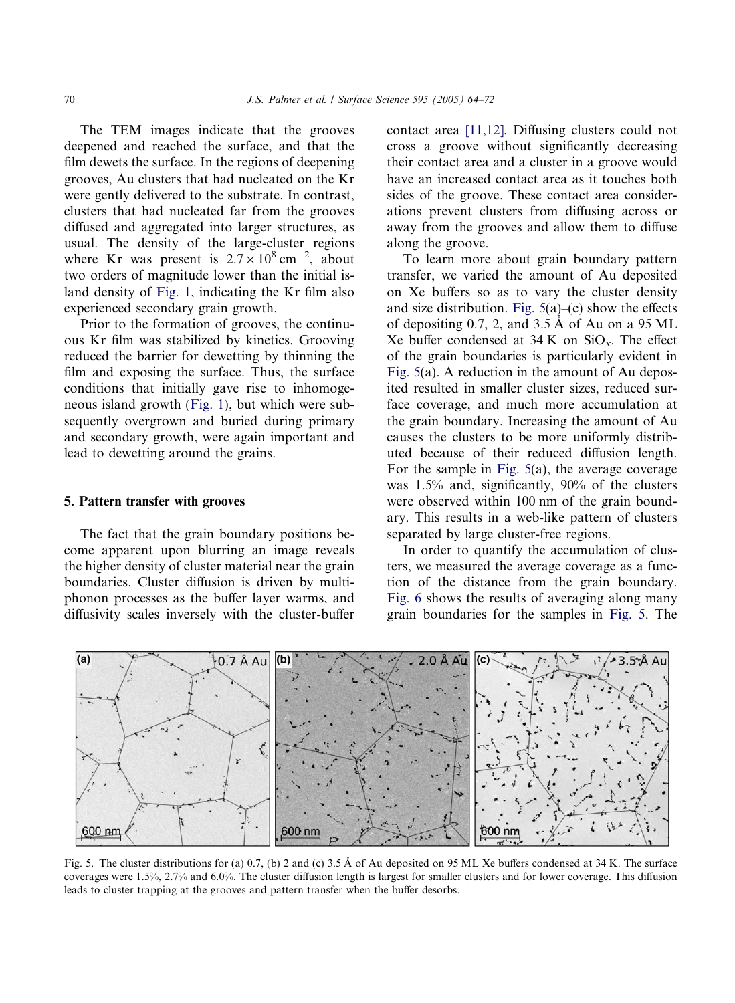<span id="page-6-0"></span>The TEM images indicate that the grooves deepened and reached the surface, and that the film dewets the surface. In the regions of deepening grooves, Au clusters that had nucleated on the Kr were gently delivered to the substrate. In contrast, clusters that had nucleated far from the grooves diffused and aggregated into larger structures, as usual. The density of the large-cluster regions where Kr was present is  $2.7 \times 10^8 \text{ cm}^{-2}$ , about two orders of magnitude lower than the initial island density of [Fig. 1](#page-2-0), indicating the Kr film also experienced secondary grain growth.

Prior to the formation of grooves, the continuous Kr film was stabilized by kinetics. Grooving reduced the barrier for dewetting by thinning the film and exposing the surface. Thus, the surface conditions that initially gave rise to inhomogeneous island growth ([Fig. 1](#page-2-0)), but which were subsequently overgrown and buried during primary and secondary growth, were again important and lead to dewetting around the grains.

#### 5. Pattern transfer with grooves

The fact that the grain boundary positions become apparent upon blurring an image reveals the higher density of cluster material near the grain boundaries. Cluster diffusion is driven by multiphonon processes as the buffer layer warms, and diffusivity scales inversely with the cluster-buffer contact area [\[11,12\].](#page-8-0) Diffusing clusters could not cross a groove without significantly decreasing their contact area and a cluster in a groove would have an increased contact area as it touches both sides of the groove. These contact area considerations prevent clusters from diffusing across or away from the grooves and allow them to diffuse along the groove.

To learn more about grain boundary pattern transfer, we varied the amount of Au deposited on Xe buffers so as to vary the cluster density and size distribution. Fig.  $5(a)$ –(c) show the effects of depositing 0.7, 2, and  $3.5 \text{ Å}$  of Au on a 95 ML Xe buffer condensed at  $34$  K on  $SiO_x$ . The effect of the grain boundaries is particularly evident in Fig. 5(a). A reduction in the amount of Au deposited resulted in smaller cluster sizes, reduced surface coverage, and much more accumulation at the grain boundary. Increasing the amount of Au causes the clusters to be more uniformly distributed because of their reduced diffusion length. For the sample in Fig. 5(a), the average coverage was 1.5% and, significantly, 90% of the clusters were observed within 100 nm of the grain boundary. This results in a web-like pattern of clusters separated by large cluster-free regions.

In order to quantify the accumulation of clusters, we measured the average coverage as a function of the distance from the grain boundary. [Fig. 6](#page-7-0) shows the results of averaging along many grain boundaries for the samples in Fig. 5. The



Fig. 5. The cluster distributions for (a) 0.7, (b) 2 and (c) 3.5 Å of Au deposited on 95 ML Xe buffers condensed at 34 K. The surface coverages were 1.5%, 2.7% and 6.0%. The cluster diffusion length is largest for smaller clusters and for lower coverage. This diffusion leads to cluster trapping at the grooves and pattern transfer when the buffer desorbs.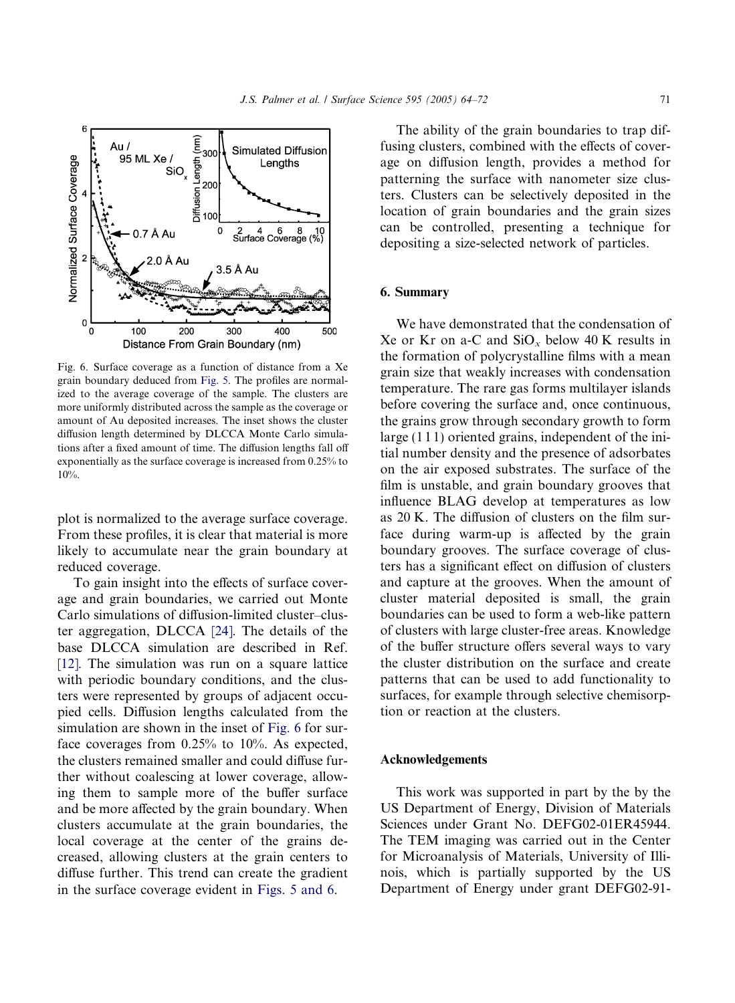<span id="page-7-0"></span>

Fig. 6. Surface coverage as a function of distance from a Xe grain boundary deduced from [Fig. 5.](#page-6-0) The profiles are normalized to the average coverage of the sample. The clusters are more uniformly distributed across the sample as the coverage or amount of Au deposited increases. The inset shows the cluster diffusion length determined by DLCCA Monte Carlo simulations after a fixed amount of time. The diffusion lengths fall off exponentially as the surface coverage is increased from 0.25% to 10%.

plot is normalized to the average surface coverage. From these profiles, it is clear that material is more likely to accumulate near the grain boundary at reduced coverage.

To gain insight into the effects of surface coverage and grain boundaries, we carried out Monte Carlo simulations of diffusion-limited cluster–cluster aggregation, DLCCA [\[24\]](#page-8-0). The details of the base DLCCA simulation are described in Ref. [\[12\].](#page-8-0) The simulation was run on a square lattice with periodic boundary conditions, and the clusters were represented by groups of adjacent occupied cells. Diffusion lengths calculated from the simulation are shown in the inset of Fig. 6 for surface coverages from 0.25% to 10%. As expected, the clusters remained smaller and could diffuse further without coalescing at lower coverage, allowing them to sample more of the buffer surface and be more affected by the grain boundary. When clusters accumulate at the grain boundaries, the local coverage at the center of the grains decreased, allowing clusters at the grain centers to diffuse further. This trend can create the gradient in the surface coverage evident in [Figs. 5 and 6](#page-6-0).

The ability of the grain boundaries to trap diffusing clusters, combined with the effects of coverage on diffusion length, provides a method for patterning the surface with nanometer size clusters. Clusters can be selectively deposited in the location of grain boundaries and the grain sizes can be controlled, presenting a technique for depositing a size-selected network of particles.

## 6. Summary

We have demonstrated that the condensation of Xe or Kr on a-C and  $SiO_x$  below 40 K results in the formation of polycrystalline films with a mean grain size that weakly increases with condensation temperature. The rare gas forms multilayer islands before covering the surface and, once continuous, the grains grow through secondary growth to form large (1 1 1) oriented grains, independent of the initial number density and the presence of adsorbates on the air exposed substrates. The surface of the film is unstable, and grain boundary grooves that influence BLAG develop at temperatures as low as 20 K. The diffusion of clusters on the film surface during warm-up is affected by the grain boundary grooves. The surface coverage of clusters has a significant effect on diffusion of clusters and capture at the grooves. When the amount of cluster material deposited is small, the grain boundaries can be used to form a web-like pattern of clusters with large cluster-free areas. Knowledge of the buffer structure offers several ways to vary the cluster distribution on the surface and create patterns that can be used to add functionality to surfaces, for example through selective chemisorption or reaction at the clusters.

#### Acknowledgements

This work was supported in part by the by the US Department of Energy, Division of Materials Sciences under Grant No. DEFG02-01ER45944. The TEM imaging was carried out in the Center for Microanalysis of Materials, University of Illinois, which is partially supported by the US Department of Energy under grant DEFG02-91